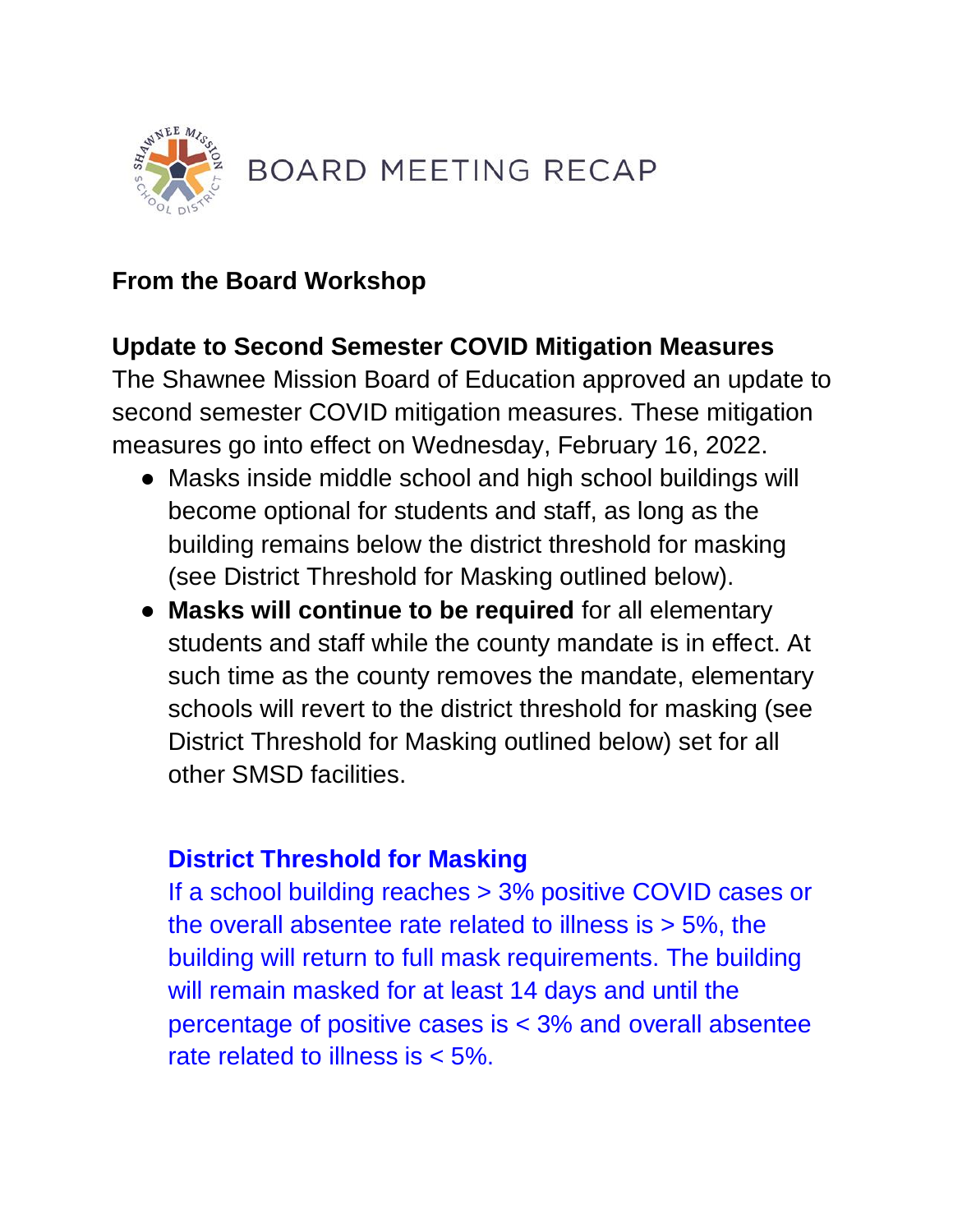

### **From the Board Workshop**

### **Update to Second Semester COVID Mitigation Measures**

The Shawnee Mission Board of Education approved an update to second semester COVID mitigation measures. These mitigation measures go into effect on Wednesday, February 16, 2022.

- Masks inside middle school and high school buildings will become optional for students and staff, as long as the building remains below the district threshold for masking (see District Threshold for Masking outlined below).
- **Masks will continue to be required** for all elementary students and staff while the county mandate is in effect. At such time as the county removes the mandate, elementary schools will revert to the district threshold for masking (see District Threshold for Masking outlined below) set for all other SMSD facilities.

#### **District Threshold for Masking**

If a school building reaches > 3% positive COVID cases or the overall absentee rate related to illness is  $> 5\%$ , the building will return to full mask requirements. The building will remain masked for at least 14 days and until the percentage of positive cases is < 3% and overall absentee rate related to illness is < 5%.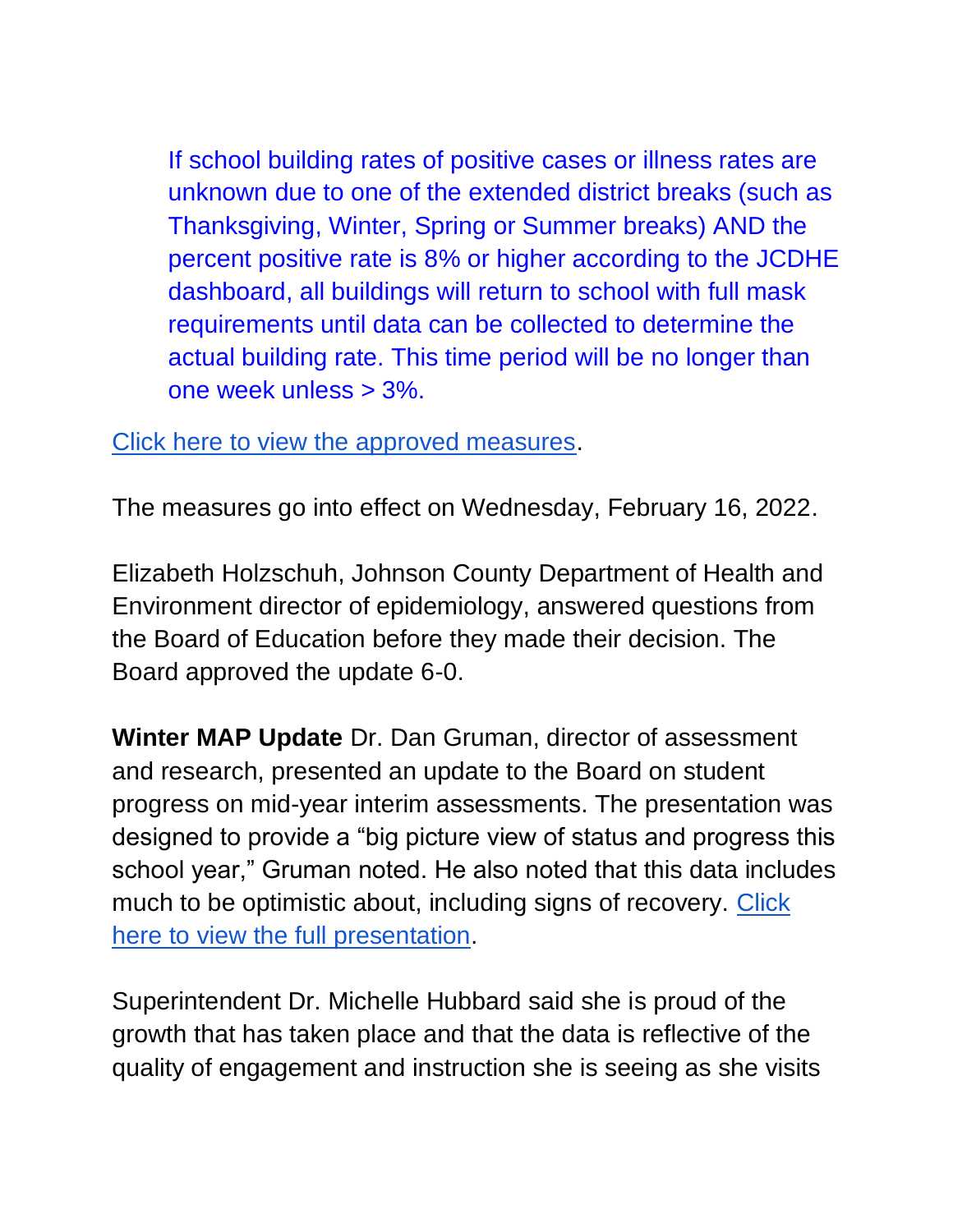If school building rates of positive cases or illness rates are unknown due to one of the extended district breaks (such as Thanksgiving, Winter, Spring or Summer breaks) AND the percent positive rate is 8% or higher according to the JCDHE dashboard, all buildings will return to school with full mask requirements until data can be collected to determine the actual building rate. This time period will be no longer than one week unless > 3%.

[Click here to view the approved measures.](https://go.boarddocs.com/ks/smsd/Board.nsf/files/CBMTM770B29F/$file/2.14.22%20%2021-22%20-%202nd%20Semester%20COVID%20%20Mitigation%20Plan%20(003).pdf)

The measures go into effect on Wednesday, February 16, 2022.

Elizabeth Holzschuh, Johnson County Department of Health and Environment director of epidemiology, answered questions from the Board of Education before they made their decision. The Board approved the update 6-0.

**Winter MAP Update** Dr. Dan Gruman, director of assessment and research, presented an update to the Board on student progress on mid-year interim assessments. The presentation was designed to provide a "big picture view of status and progress this school year," Gruman noted. He also noted that this data includes much to be optimistic about, including signs of recovery. Click [here to view the full presentation.](http://go.boarddocs.com/ks/smsd/Board.nsf/goto?open&id=C9HLDB53DC34)

Superintendent Dr. Michelle Hubbard said she is proud of the growth that has taken place and that the data is reflective of the quality of engagement and instruction she is seeing as she visits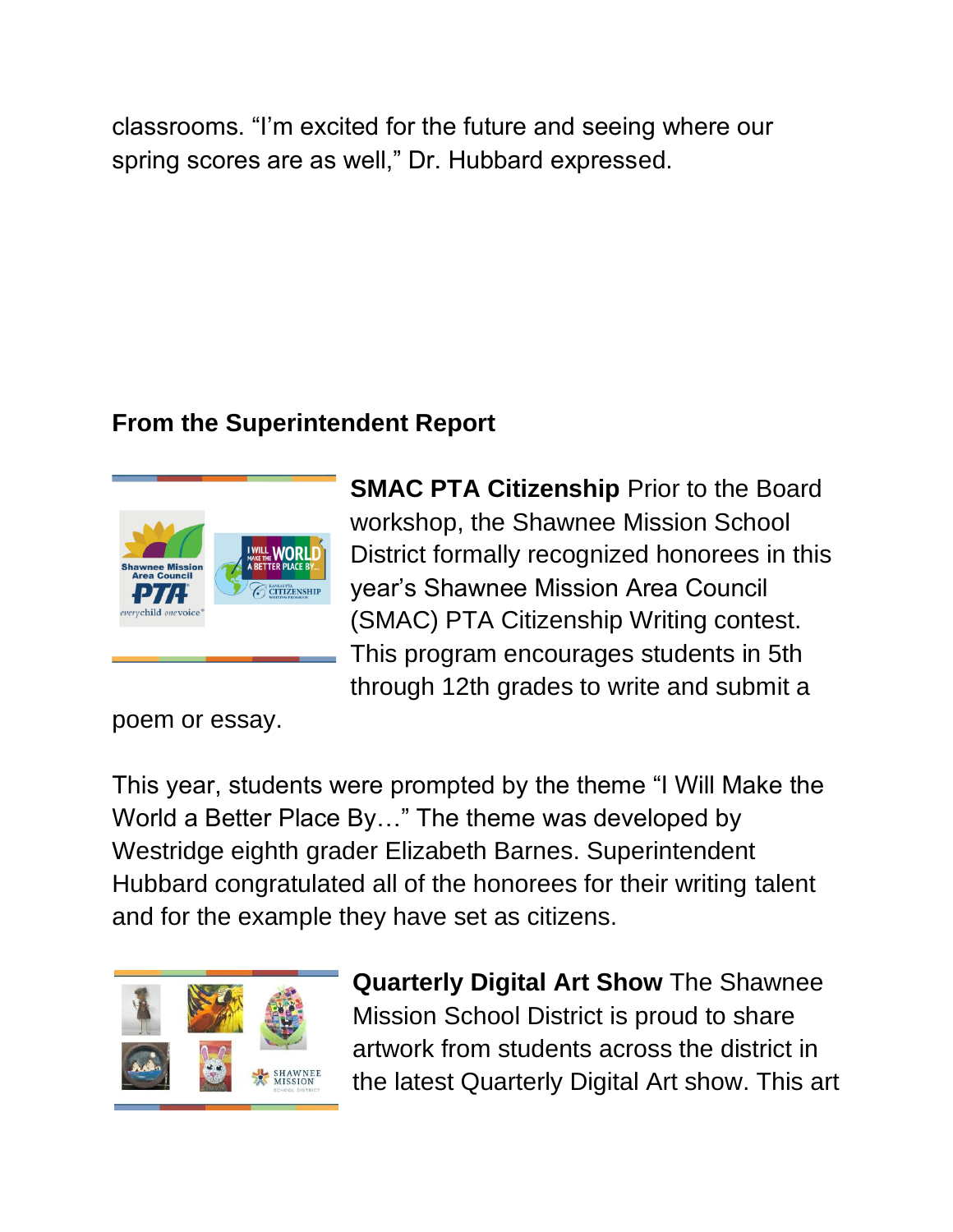classrooms. "I'm excited for the future and seeing where our spring scores are as well," Dr. Hubbard expressed.

# **From the Superintendent Report**



**SMAC PTA Citizenship** Prior to the Board workshop, the Shawnee Mission School District formally recognized honorees in this year's Shawnee Mission Area Council (SMAC) PTA Citizenship Writing contest. This program encourages students in 5th through 12th grades to write and submit a

poem or essay.

This year, students were prompted by the theme "I Will Make the World a Better Place By…" The theme was developed by Westridge eighth grader Elizabeth Barnes. Superintendent Hubbard congratulated all of the honorees for their writing talent and for the example they have set as citizens.



**Quarterly Digital Art Show** The Shawnee Mission School District is proud to share artwork from students across the district in the latest Quarterly Digital Art show. This art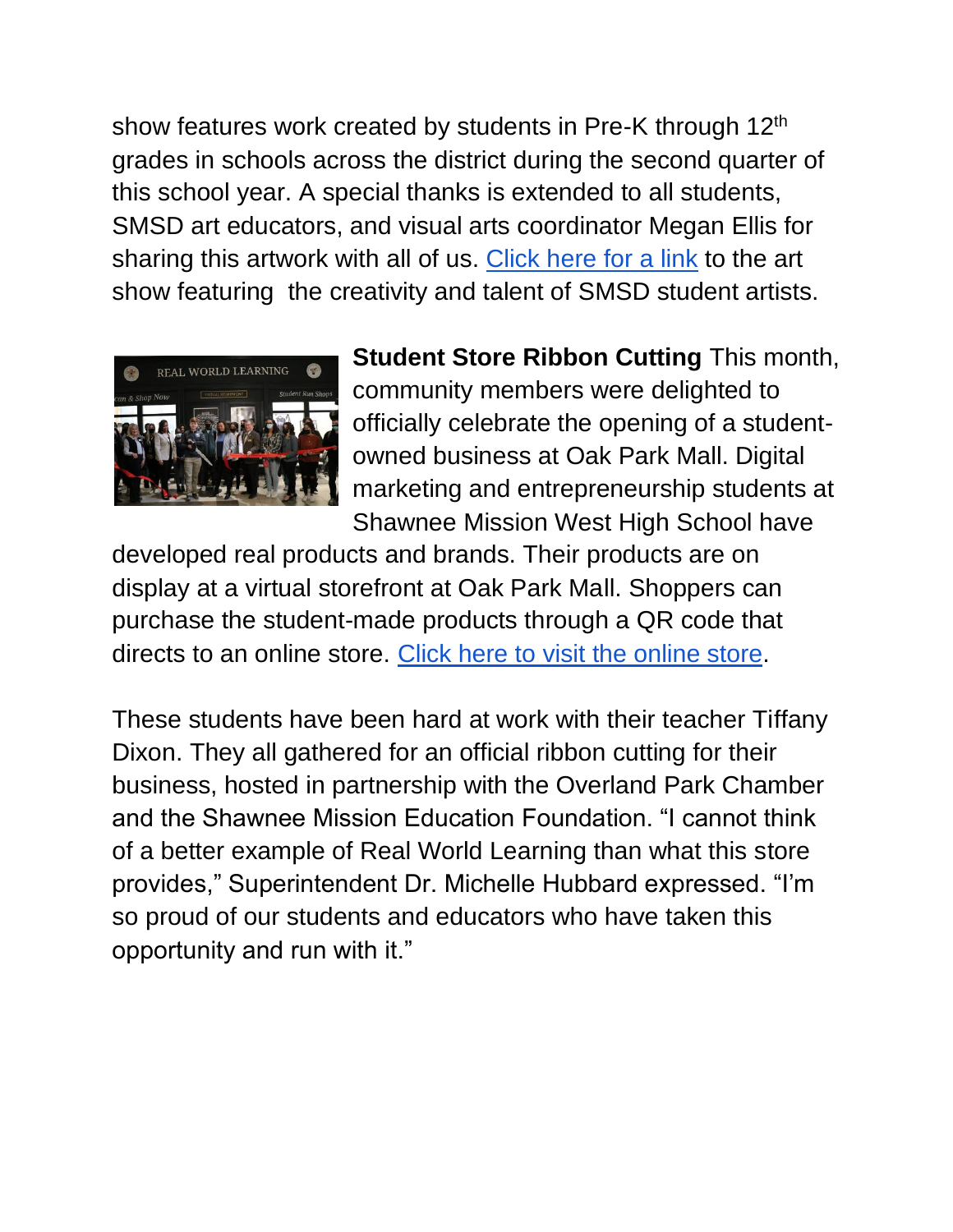show features work created by students in Pre-K through 12<sup>th</sup> grades in schools across the district during the second quarter of this school year. A special thanks is extended to all students, SMSD art educators, and visual arts coordinator Megan Ellis for sharing this artwork with all of us. [Click here for a link](https://youtu.be/MWw8Eotlo0A) to the art show featuring the creativity and talent of SMSD student artists.



**Student Store Ribbon Cutting** This month, community members were delighted to officially celebrate the opening of a studentowned business at Oak Park Mall. Digital marketing and entrepreneurship students at Shawnee Mission West High School have

developed real products and brands. Their products are on display at a virtual storefront at Oak Park Mall. Shoppers can purchase the student-made products through a QR code that directs to an online store. [Click here to visit the online store.](https://www.smwvikingdesigns.com/)

These students have been hard at work with their teacher Tiffany Dixon. They all gathered for an official ribbon cutting for their business, hosted in partnership with the Overland Park Chamber and the Shawnee Mission Education Foundation. "I cannot think of a better example of Real World Learning than what this store provides," Superintendent Dr. Michelle Hubbard expressed. "I'm so proud of our students and educators who have taken this opportunity and run with it."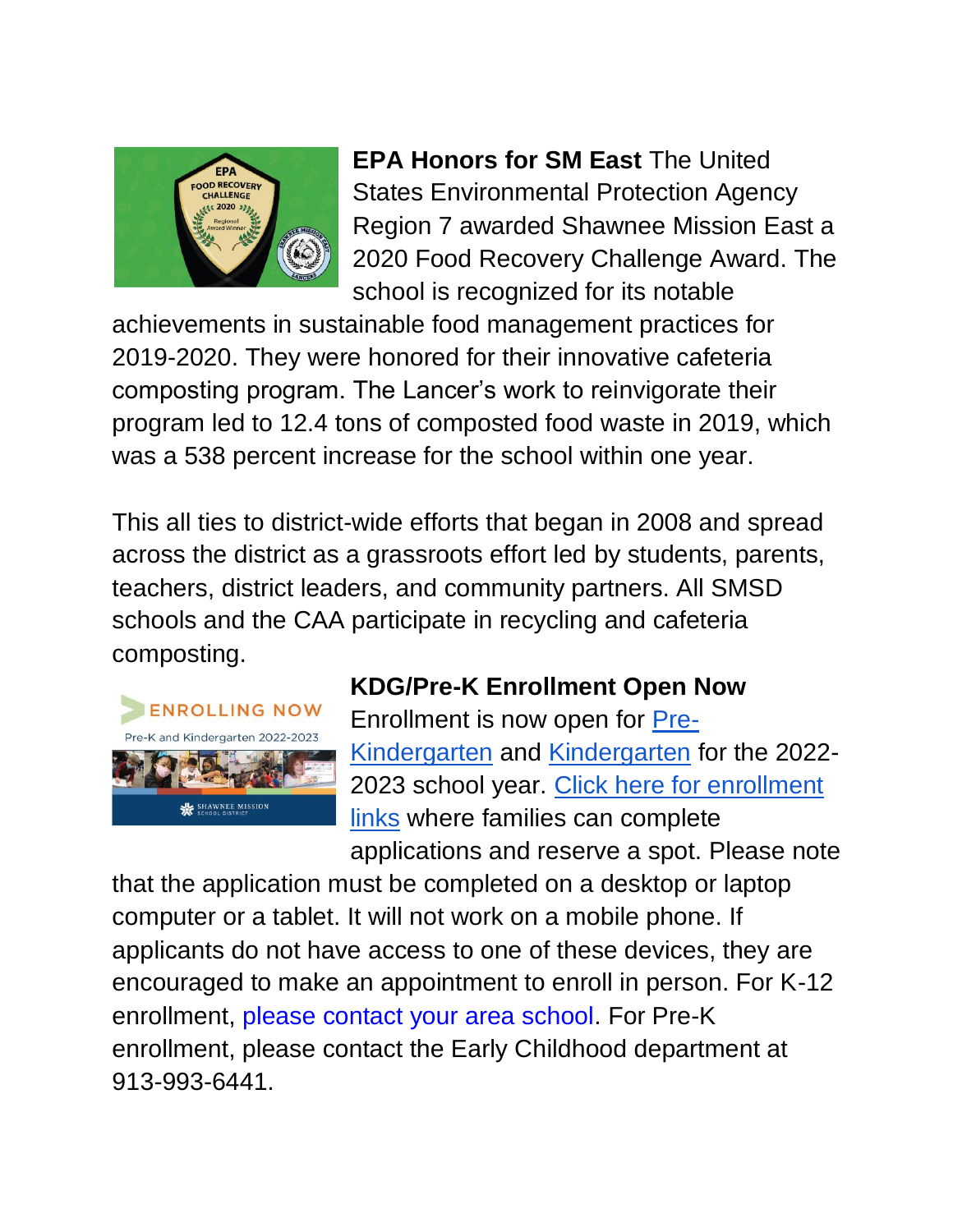

**EPA Honors for SM East** The United States Environmental Protection Agency Region 7 awarded Shawnee Mission East a 2020 Food Recovery Challenge Award. The school is recognized for its notable

achievements in sustainable food management practices for 2019-2020. They were honored for their innovative cafeteria composting program. The Lancer's work to reinvigorate their program led to 12.4 tons of composted food waste in 2019, which was a 538 percent increase for the school within one year.

This all ties to district-wide efforts that began in 2008 and spread across the district as a grassroots effort led by students, parents, teachers, district leaders, and community partners. All SMSD schools and the CAA participate in recycling and cafeteria composting.



# **KDG/Pre-K Enrollment Open Now**

Enrollment is now open for [Pre-](https://www.smsd.org/academics/early-childhood/pre-kindergarten)[Kindergarten](https://www.smsd.org/academics/early-childhood/pre-kindergarten) and [Kindergarten](https://www.smsd.org/academics/kindergarten) for the 2022- 2023 school year. [Click here for enrollment](https://www.smsd.org/academics/kindergarten/kindergarten-kick-off)  [links](https://www.smsd.org/academics/kindergarten/kindergarten-kick-off) where families can complete applications and reserve a spot. Please note

that the application must be completed on a desktop or laptop computer or a tablet. It will not work on a mobile phone. If applicants do not have access to one of these devices, they are encouraged to make an appointment to enroll in person. For K-12 enrollment, [please contact your area school.](https://www.smsd.org/our-schools/elementary) For Pre-K enrollment, please contact the Early Childhood department at 913-993-6441.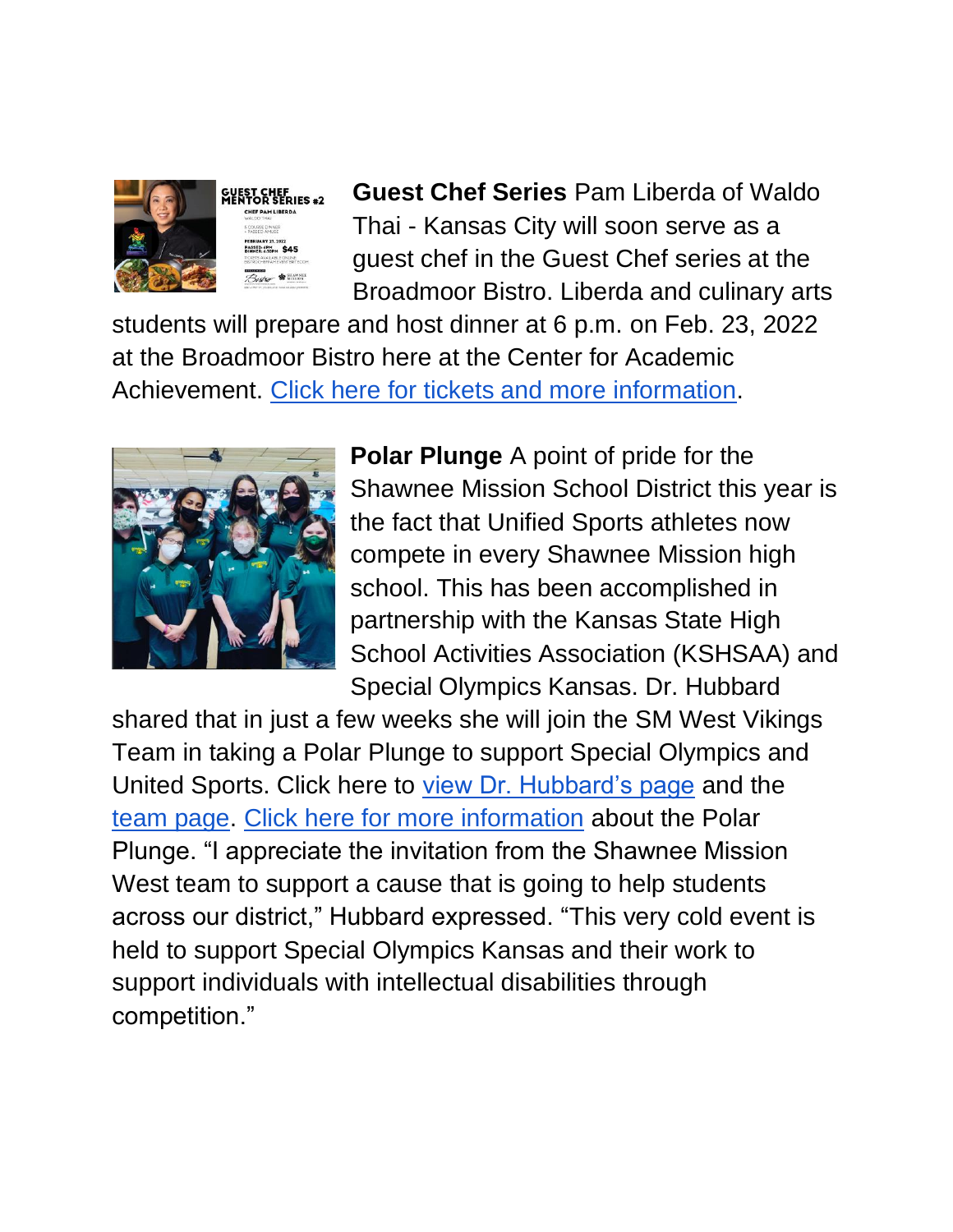

**Guest Chef Series** Pam Liberda of Waldo Thai - Kansas City will soon serve as a guest chef in the Guest Chef series at the Broadmoor Bistro. Liberda and culinary arts

students will prepare and host dinner at 6 p.m. on Feb. 23, 2022 at the Broadmoor Bistro here at the Center for Academic Achievement. [Click here for tickets and more information.](https://www.eventbrite.com/e/broadmoor-bistro-guest-chef-series-chef-pam-libe-tickets-260484775977?aff=ebdsoporgprofile)



**Polar Plunge** A point of pride for the Shawnee Mission School District this year is the fact that Unified Sports athletes now compete in every Shawnee Mission high school. This has been accomplished in partnership with the Kansas State High School Activities Association (KSHSAA) and Special Olympics Kansas. Dr. Hubbard

shared that in just a few weeks she will join the SM West Vikings Team in taking a Polar Plunge to support Special Olympics and United Sports. Click here to [view Dr. Hubbard's page](https://secure.e2rm.com/registrant/FundraisingPage.aspx?registrationID=5040946&langPref=en-CA) and the [team page.](https://secure.e2rm.com/registrant/TeamFundraisingPage.aspx?teamID=969785&langPref=en-CA) [Click here for more information](http://plungeks.org/kansas-city/) about the Polar Plunge. "I appreciate the invitation from the Shawnee Mission West team to support a cause that is going to help students across our district," Hubbard expressed. "This very cold event is held to support Special Olympics Kansas and their work to support individuals with intellectual disabilities through competition."